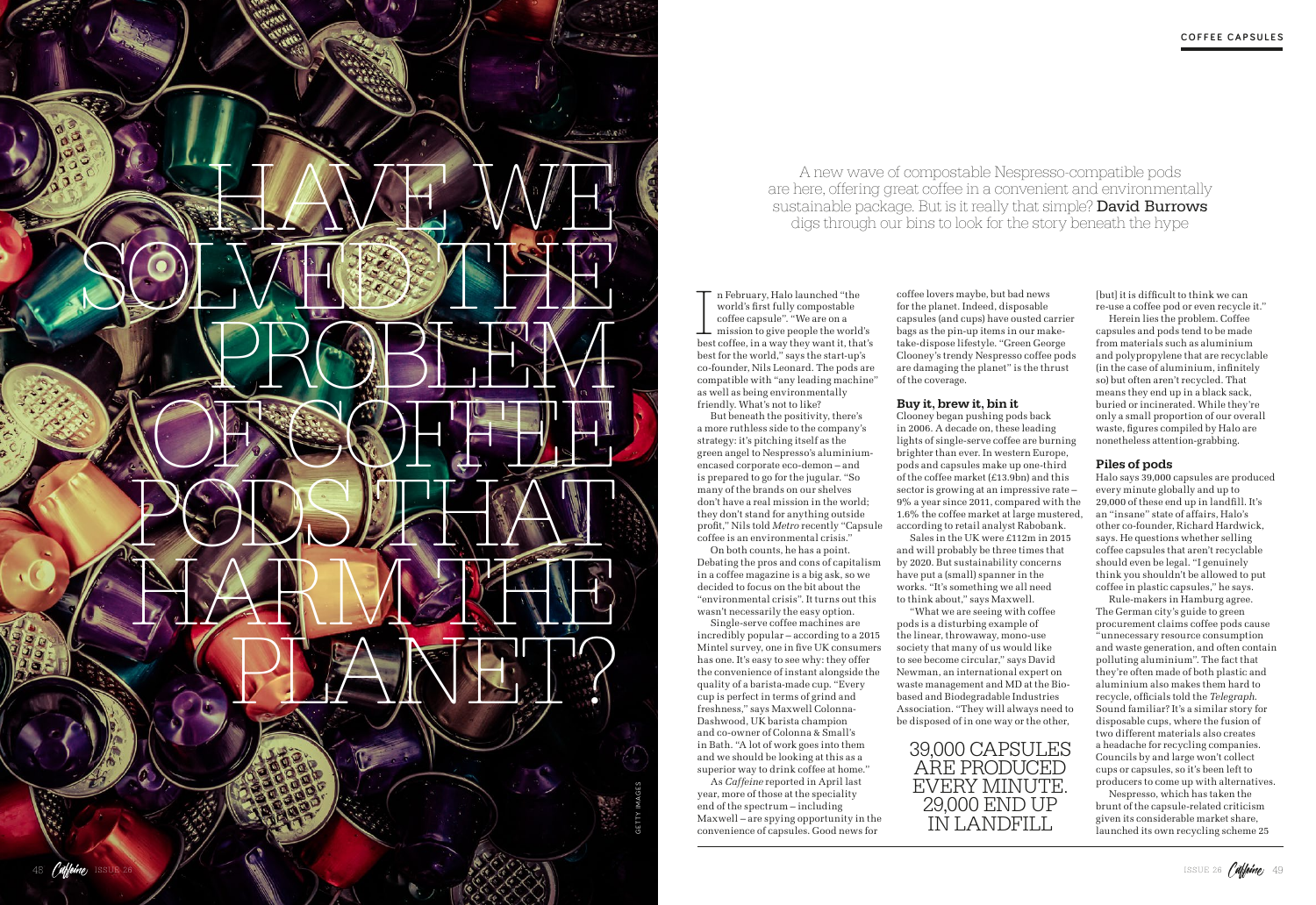

In February, Halo launched "the<br>world's first fully compostable<br>coffee capsule". "We are on a<br>mission to give people the world's<br>best coffee, in a way they want it, that's n February, Halo launched "the world's first fully compostable coffee capsule". "We are on a  $\perp$  mission to give people the world's best for the world," says the start-up's co-founder, Nils Leonard. The pods are compatible with "any leading machine" as well as being environmentally friendly. What's not to like?

But beneath the positivity, there's a more ruthless side to the company's strategy: it's pitching itself as the green angel to Nespresso's aluminiumencased corporate eco-demon – and is prepared to go for the jugular. "So many of the brands on our shelves don't have a real mission in the world; they don't stand for anything outside profit," Nils told *Metro* recently "Capsule coffee is an environmental crisis."

On both counts, he has a point. Debating the pros and cons of capitalism in a coffee magazine is a big ask, so we decided to focus on the bit about the "environmental crisis". It turns out this wasn't necessarily the easy option.

Single-serve coffee machines are incredibly popular – according to a 2015 Mintel survey, one in five UK consumers has one. It's easy to see why: they offer the convenience of instant alongside the quality of a barista-made cup. "Every cup is perfect in terms of grind and freshness," says Maxwell Colonna-Dashwood, UK barista champion and co-owner of Colonna & Small's in Bath. "A lot of work goes into them and we should be looking at this as a superior way to drink coffee at home."

As *Caffeine* reported in April last year, more of those at the speciality end of the spectrum – including Maxwell – are spying opportunity in the convenience of capsules. Good news for

coffee lovers maybe, but bad news for the planet. Indeed, disposable capsules (and cups) have ousted carrier bags as the pin-up items in our maketake-dispose lifestyle. "Green George Clooney's trendy Nespresso coffee pods are damaging the planet" is the thrust of the coverage.

## Buy it, brew it, bin it

Clooney began pushing pods back in 2006. A decade on, these leading lights of single-serve coffee are burning brighter than ever. In western Europe, pods and capsules make up one-third of the coffee market (£13.9bn) and this sector is growing at an impressive rate – 9% a year since 2011, compared with the 1.6% the coffee market at large mustered, according to retail analyst Rabobank. Sales in the UK were £112m in 2015 and will probably be three times that by 2020. But sustainability concerns

have put a (small) spanner in the works. "It's something we all need to think about," says Maxwell.

"What we are seeing with coffee pods is a disturbing example of the linear, throwaway, mono-use society that many of us would like to see become circular," says David Newman, an international expert on waste management and MD at the Biobased and Biodegradable Industries Association. "They will always need to be disposed of in one way or the other,

A new wave of compostable Nespresso-compatible pods are here, offering great coffee in a convenient and environmentally sustainable package. But is it really that simple? David Burrows digs through our bins to look for the story beneath the hype

> [but] it is difficult to think we can re-use a coffee pod or even recycle it." Herein lies the problem. Coffee capsules and pods tend to be made from materials such as aluminium and polypropylene that are recyclable (in the case of aluminium, infinitely so) but often aren't recycled. That means they end up in a black sack, buried or incinerated. While they're only a small proportion of our overall waste, figures compiled by Halo are nonetheless attention-grabbing.

### Piles of pods



Halo says 39,000 capsules are produced every minute globally and up to 29,000 of these end up in landfill. It's an "insane" state of affairs, Halo's other co-founder, Richard Hardwick, says. He questions whether selling coffee capsules that aren't recyclable should even be legal. "I genuinely think you shouldn't be allowed to put coffee in plastic capsules," he says.

Rule-makers in Hamburg agree. The German city's guide to green procurement claims coffee pods cause "unnecessary resource consumption and waste generation, and often contain polluting aluminium". The fact that they're often made of both plastic and aluminium also makes them hard to recycle, officials told the *Telegraph*. Sound familiar? It's a similar story for disposable cups, where the fusion of two different materials also creates a headache for recycling companies. Councils by and large won't collect cups or capsules, so it's been left to producers to come up with alternatives.

Nespresso, which has taken the brunt of the capsule-related criticism given its considerable market share, launched its own recycling scheme 25

# 39,000 CAPSULES ARE PRODUCED EVERY MINUTE. 29,000 END UP IN LANDFILL